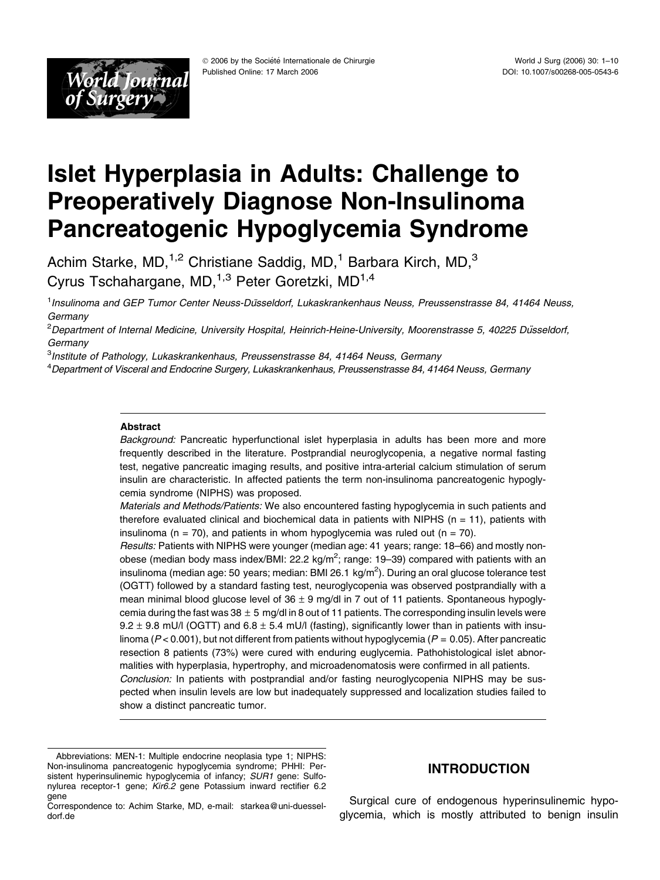

# Islet Hyperplasia in Adults: Challenge to Preoperatively Diagnose Non-Insulinoma Pancreatogenic Hypoglycemia Syndrome

Achim Starke, MD, $1,2$  Christiane Saddig, MD, $1$  Barbara Kirch, MD, $3$ Cyrus Tschahargane, MD,  $1,3$  Peter Goretzki, MD $1,4$ 

<sup>1</sup> Insulinoma and GEP Tumor Center Neuss-Düsseldorf, Lukaskrankenhaus Neuss, Preussenstrasse 84, 41464 Neuss, **Germany** 

<sup>2</sup>Department of Internal Medicine, University Hospital, Heinrich-Heine-University, Moorenstrasse 5, 40225 Düsseldorf, **Germany** 

<sup>3</sup>Institute of Pathology, Lukaskrankenhaus, Preussenstrasse 84, 41464 Neuss, Germany

4 Department of Visceral and Endocrine Surgery, Lukaskrankenhaus, Preussenstrasse 84, 41464 Neuss, Germany

#### Abstract

Background: Pancreatic hyperfunctional islet hyperplasia in adults has been more and more frequently described in the literature. Postprandial neuroglycopenia, a negative normal fasting test, negative pancreatic imaging results, and positive intra-arterial calcium stimulation of serum insulin are characteristic. In affected patients the term non-insulinoma pancreatogenic hypoglycemia syndrome (NIPHS) was proposed.

Materials and Methods/Patients: We also encountered fasting hypoglycemia in such patients and therefore evaluated clinical and biochemical data in patients with NIPHS ( $n = 11$ ), patients with insulinoma ( $n = 70$ ), and patients in whom hypoglycemia was ruled out ( $n = 70$ ).

Results: Patients with NIPHS were younger (median age: 41 years; range: 18–66) and mostly nonobese (median body mass index/BMI: 22.2 kg/m<sup>2</sup>; range: 19–39) compared with patients with an insulinoma (median age: 50 years; median: BMI 26.1 kg/m<sup>2</sup>). During an oral glucose tolerance test (OGTT) followed by a standard fasting test, neuroglycopenia was observed postprandially with a mean minimal blood glucose level of  $36 \pm 9$  mg/dl in 7 out of 11 patients. Spontaneous hypoglycemia during the fast was  $38 \pm 5$  mg/dl in 8 out of 11 patients. The corresponding insulin levels were 9.2  $\pm$  9.8 mU/l (OGTT) and 6.8  $\pm$  5.4 mU/l (fasting), significantly lower than in patients with insulinoma ( $P < 0.001$ ), but not different from patients without hypoglycemia ( $P = 0.05$ ). After pancreatic resection 8 patients (73%) were cured with enduring euglycemia. Pathohistological islet abnormalities with hyperplasia, hypertrophy, and microadenomatosis were confirmed in all patients. Conclusion: In patients with postprandial and/or fasting neuroglycopenia NIPHS may be suspected when insulin levels are low but inadequately suppressed and localization studies failed to show a distinct pancreatic tumor.

Surgical cure of endogenous hyperinsulinemic hypoglycemia, which is mostly attributed to benign insulin

Abbreviations: MEN-1: Multiple endocrine neoplasia type 1; NIPHS: Non-insulinoma pancreatogenic hypoglycemia syndrome; PHHI: Persistent hyperinsulinemic hypoglycemia of infancy; SUR1 gene: Sulfonylurea receptor-1 gene; Kir6.2 gene Potassium inward rectifier 6.2 gene

INTRODUCTION

Correspondence to: Achim Starke, MD, e-mail: starkea@uni-duesseldorf.de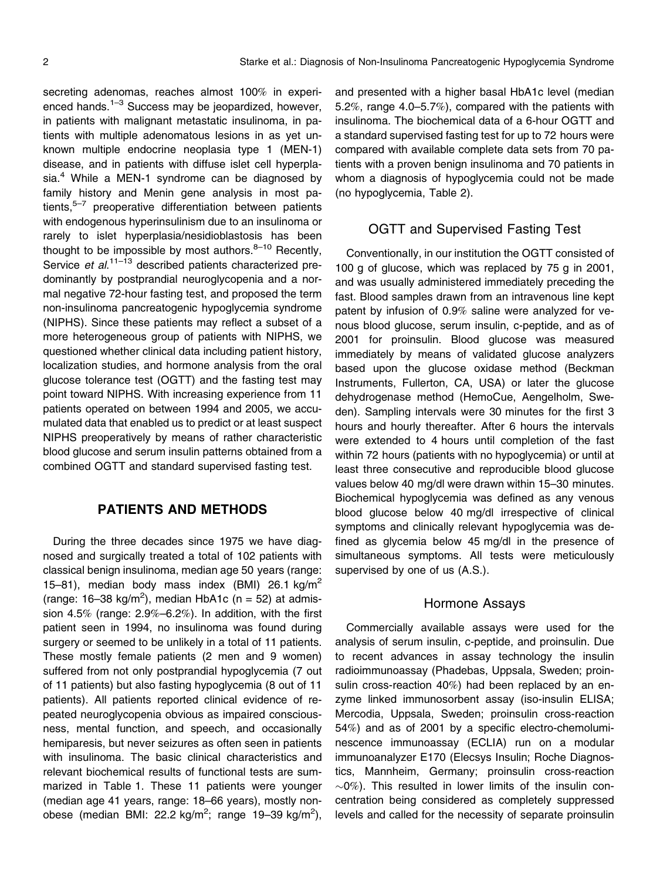secreting adenomas, reaches almost 100% in experienced hands. $1-3$  Success may be jeopardized, however, in patients with malignant metastatic insulinoma, in patients with multiple adenomatous lesions in as yet unknown multiple endocrine neoplasia type 1 (MEN-1) disease, and in patients with diffuse islet cell hyperplasia. $4$  While a MEN-1 syndrome can be diagnosed by family history and Menin gene analysis in most patients, $5-7$  preoperative differentiation between patients with endogenous hyperinsulinism due to an insulinoma or rarely to islet hyperplasia/nesidioblastosis has been thought to be impossible by most authors. $8-10$  Recently, Service et al.<sup>11–13</sup> described patients characterized predominantly by postprandial neuroglycopenia and a normal negative 72-hour fasting test, and proposed the term non-insulinoma pancreatogenic hypoglycemia syndrome (NIPHS). Since these patients may reflect a subset of a more heterogeneous group of patients with NIPHS, we questioned whether clinical data including patient history, localization studies, and hormone analysis from the oral glucose tolerance test (OGTT) and the fasting test may point toward NIPHS. With increasing experience from 11 patients operated on between 1994 and 2005, we accumulated data that enabled us to predict or at least suspect NIPHS preoperatively by means of rather characteristic blood glucose and serum insulin patterns obtained from a combined OGTT and standard supervised fasting test.

# PATIENTS AND METHODS

During the three decades since 1975 we have diagnosed and surgically treated a total of 102 patients with classical benign insulinoma, median age 50 years (range: 15–81), median body mass index (BMI) 26.1 kg/m<sup>2</sup> (range: 16–38 kg/m<sup>2</sup>), median HbA1c (n = 52) at admission 4.5% (range: 2.9%–6.2%). In addition, with the first patient seen in 1994, no insulinoma was found during surgery or seemed to be unlikely in a total of 11 patients. These mostly female patients (2 men and 9 women) suffered from not only postprandial hypoglycemia (7 out of 11 patients) but also fasting hypoglycemia (8 out of 11 patients). All patients reported clinical evidence of repeated neuroglycopenia obvious as impaired consciousness, mental function, and speech, and occasionally hemiparesis, but never seizures as often seen in patients with insulinoma. The basic clinical characteristics and relevant biochemical results of functional tests are summarized in Table 1. These 11 patients were younger (median age 41 years, range: 18–66 years), mostly nonobese (median BMI: 22.2 kg/m<sup>2</sup>; range 19–39 kg/m<sup>2</sup>),

and presented with a higher basal HbA1c level (median 5.2%, range 4.0–5.7%), compared with the patients with insulinoma. The biochemical data of a 6-hour OGTT and a standard supervised fasting test for up to 72 hours were compared with available complete data sets from 70 patients with a proven benign insulinoma and 70 patients in whom a diagnosis of hypoglycemia could not be made (no hypoglycemia, Table 2).

## OGTT and Supervised Fasting Test

Conventionally, in our institution the OGTT consisted of 100 g of glucose, which was replaced by 75 g in 2001, and was usually administered immediately preceding the fast. Blood samples drawn from an intravenous line kept patent by infusion of 0.9% saline were analyzed for venous blood glucose, serum insulin, c-peptide, and as of 2001 for proinsulin. Blood glucose was measured immediately by means of validated glucose analyzers based upon the glucose oxidase method (Beckman Instruments, Fullerton, CA, USA) or later the glucose dehydrogenase method (HemoCue, Aengelholm, Sweden). Sampling intervals were 30 minutes for the first 3 hours and hourly thereafter. After 6 hours the intervals were extended to 4 hours until completion of the fast within 72 hours (patients with no hypoglycemia) or until at least three consecutive and reproducible blood glucose values below 40 mg/dl were drawn within 15–30 minutes. Biochemical hypoglycemia was defined as any venous blood glucose below 40 mg/dl irrespective of clinical symptoms and clinically relevant hypoglycemia was defined as glycemia below 45 mg/dl in the presence of simultaneous symptoms. All tests were meticulously supervised by one of us  $(A.S.).$ 

#### Hormone Assays

Commercially available assays were used for the analysis of serum insulin, c-peptide, and proinsulin. Due to recent advances in assay technology the insulin radioimmunoassay (Phadebas, Uppsala, Sweden; proinsulin cross-reaction 40%) had been replaced by an enzyme linked immunosorbent assay (iso-insulin ELISA; Mercodia, Uppsala, Sweden; proinsulin cross-reaction 54%) and as of 2001 by a specific electro-chemoluminescence immunoassay (ECLIA) run on a modular immunoanalyzer E170 (Elecsys Insulin; Roche Diagnostics, Mannheim, Germany; proinsulin cross-reaction  $\sim$ 0%). This resulted in lower limits of the insulin concentration being considered as completely suppressed levels and called for the necessity of separate proinsulin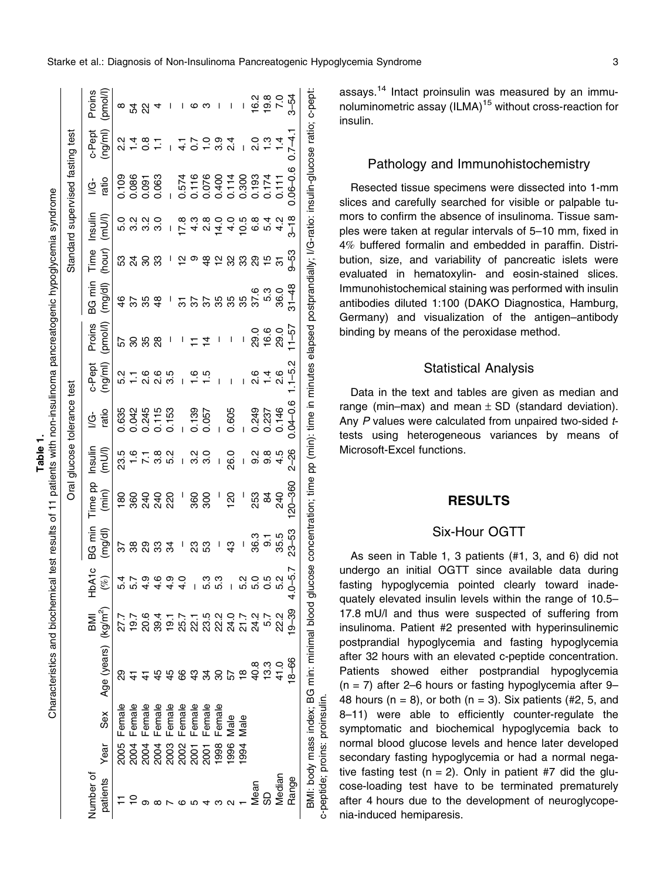| ↽ |              |
|---|--------------|
| Φ | ے۔<br>مغازمہ |
| ₽ |              |
| ត |              |
| ⊢ | nte          |
|   | ٥            |
|   |              |

Characteristics and biochemical test results of 11 patients with non-insulinoma pancreatogenic hypoglycemia syndrome Characteristics and biochemical test results of 11 patients with non-insulinoma pancreatogenic hypoglycemia syndrome

|                       |                                                                     |                                                    |                                                   |                                           |                        |                 |                        |                  | Oral glucose tolerance test                                                                                       |                   |                   |                   |                         |                                                                                 | Standard supervised fasting test |                               |                        |
|-----------------------|---------------------------------------------------------------------|----------------------------------------------------|---------------------------------------------------|-------------------------------------------|------------------------|-----------------|------------------------|------------------|-------------------------------------------------------------------------------------------------------------------|-------------------|-------------------|-------------------|-------------------------|---------------------------------------------------------------------------------|----------------------------------|-------------------------------|------------------------|
| Jumber of<br>patients | Year                                                                | Sex                                                | Age (years) (kg/m <sup>2</sup> )                  | BMI                                       | $\circ$<br>)<br>全<br>E | aim 58<br>mg/dl | Time pp<br>(min)       | Insulin<br>/lum) | ratio<br>₫                                                                                                        | c-Pept<br>(ng/ml) | pmol/l)<br>Proins | BG min<br>(mg/dl) | Time<br>(hour)          | Insulin<br>(mU/l                                                                | ratio<br>₫                       | c-Pept<br>(ng/ml)             | Proins<br>//pmol       |
|                       |                                                                     | Female                                             |                                                   |                                           |                        |                 | 180                    | 23.5             |                                                                                                                   |                   |                   |                   |                         |                                                                                 |                                  | 2.<br>2                       |                        |
|                       | 8 3 3 3 8 8 5 5 8 8<br>8 8 8 8 8 8 6 7 8 9 8<br>8 8 8 8 8 8 8 9 9 9 | Female                                             | <u>ಇ</u><br>ಇ                                     | ァファルトアー 5 2 2 2 2 2 2 2<br>アファのもののおびのストムで |                        |                 |                        |                  | 535<br>63455 536<br>63455 5367<br>63455 5367                                                                      |                   | ន ន ន             | $4883$ $1$        |                         | o ល ល o<br>ហ ់ ෆ ෆ ෆ                                                            |                                  |                               |                        |
|                       |                                                                     |                                                    |                                                   |                                           |                        |                 | ន្ល ទុ ទុ ន្ល          | $6 - 8$<br>$- 6$ |                                                                                                                   | ہ<br>2            |                   |                   |                         |                                                                                 |                                  | $\frac{1}{4}$ 8 $\frac{1}{8}$ | ଧ୍ୟ                    |
|                       |                                                                     | Female<br>E emale<br>E emale<br>E emale<br>E emale |                                                   |                                           |                        |                 |                        |                  |                                                                                                                   | ە<br>2            |                   |                   |                         |                                                                                 |                                  |                               |                        |
|                       |                                                                     |                                                    |                                                   |                                           |                        | ಸ               |                        | 53               |                                                                                                                   |                   | I                 |                   |                         | I                                                                               |                                  |                               |                        |
|                       |                                                                     |                                                    |                                                   |                                           |                        |                 |                        | I                |                                                                                                                   |                   |                   |                   | 으                       |                                                                                 |                                  |                               |                        |
|                       |                                                                     |                                                    |                                                   |                                           |                        |                 | $^{+}$ 8.00 $^{\circ}$ |                  |                                                                                                                   |                   |                   |                   |                         |                                                                                 |                                  | $\frac{4}{0}$ 7.0             |                        |
|                       |                                                                     | Female<br>Female                                   |                                                   |                                           |                        | က္တ             |                        | လ္ တ<br>က က      |                                                                                                                   | $\frac{6}{1}$ 5   |                   |                   |                         | <i>r</i> 4 <i>o</i> 4 4 6 6<br><i>o</i> i 6 6 6 6 6 6<br><b>o</b> i 6 6 6 7 6 6 |                                  |                               |                        |
|                       |                                                                     |                                                    |                                                   |                                           |                        |                 |                        | I                |                                                                                                                   |                   |                   |                   | <b>\$ 2 3 3 3 5 5 2</b> |                                                                                 |                                  |                               |                        |
|                       |                                                                     | Male                                               |                                                   |                                           |                        |                 | 120                    | 26.0             | 0.605                                                                                                             |                   |                   |                   |                         |                                                                                 |                                  | $\frac{4}{2}$                 |                        |
|                       | 1994                                                                | Male                                               |                                                   |                                           |                        |                 |                        | I                |                                                                                                                   |                   |                   |                   |                         |                                                                                 |                                  |                               |                        |
| Mean                  |                                                                     |                                                    |                                                   |                                           | codo<br>codo           | 36.3            | 253                    | လ္ပ              |                                                                                                                   |                   |                   |                   |                         |                                                                                 |                                  |                               |                        |
| 99                    |                                                                     |                                                    |                                                   |                                           |                        | တ               | 2                      | <u>ვ</u>         | 0.249<br>0.237                                                                                                    |                   |                   |                   |                         |                                                                                 |                                  |                               | $690$<br>$700$<br>$70$ |
| Median                |                                                                     |                                                    |                                                   | 22.2                                      | 5.2                    | 35.5            | $\frac{5}{2}$          |                  | 0.146                                                                                                             | ە<br>20           |                   |                   |                         |                                                                                 | 0.111                            |                               |                        |
| Range                 |                                                                     |                                                    | $8 - 66$                                          | $19 - 39$                                 | $4.0 - 5.$             | 23–53           | 20-360                 | $2 - 26$         | $0.0 - 0.6$                                                                                                       | $-5.2$            | $1 - 57$          | $31 - 48$         | 9–53                    | $3 - 18$                                                                        | $0.06 - 0.6$                     | $0.7 - 4.$                    | $3 - 54$               |
|                       |                                                                     |                                                    | BMI: body mass index; BG min: minimal blood gluco |                                           |                        |                 |                        |                  | se concentration; time pp (min): time in minutes elapsed postprandially; l/G-ratio: insulin-glucose ratio; c-pept |                   |                   |                   |                         |                                                                                 |                                  |                               |                        |

bution, size, and variability of pancreatic islets were evaluated in hematoxylin- and eosin-stained slices. Immunohistochemical staining was performed with insulin antibodies diluted 1:100 (DAKO Diagnostica, Hamburg, Germany) and visualization of the antigen–antibody binding by means of the peroxidase method.

#### Statistical Analysis

Data in the text and tables are given as median and range (min–max) and mean  $\pm$  SD (standard deviation). Any P values were calculated from unpaired two-sided ttests using heterogeneous variances by means of Microsoft-Excel functions.

# RESULTS

## Six-Hour OGTT

As seen in Table 1, 3 patients (#1, 3, and 6) did not undergo an initial OGTT since available data during fasting hypoglycemia pointed clearly toward inadequately elevated insulin levels within the range of 10.5– 17.8 mU/l and thus were suspected of suffering from insulinoma. Patient #2 presented with hyperinsulinemic postprandial hypoglycemia and fasting hypoglycemia after 32 hours with an elevated c-peptide concentration. Patients showed either postprandial hypoglycemia  $(n = 7)$  after 2–6 hours or fasting hypoglycemia after 9– 48 hours ( $n = 8$ ), or both ( $n = 3$ ). Six patients (#2, 5, and 8–11) were able to efficiently counter-regulate the symptomatic and biochemical hypoglycemia back to normal blood glucose levels and hence later developed secondary fasting hypoglycemia or had a normal negative fasting test ( $n = 2$ ). Only in patient #7 did the glucose-loading test have to be terminated prematurely after 4 hours due to the development of neuroglycopenia-induced hemiparesis.

c-peptide; proins: proinsulin.

c-peptide; proins: proinsulin.

assays.<sup>14</sup> Intact proinsulin was measured by an immunoluminometric assay (ILMA)<sup>15</sup> without cross-reaction for insulin.

## Pathology and Immunohistochemistry

Resected tissue specimens were dissected into 1-mm slices and carefully searched for visible or palpable tumors to confirm the absence of insulinoma. Tissue samples were taken at regular intervals of 5–10 mm, fixed in 4% buffered formalin and embedded in paraffin. Distri-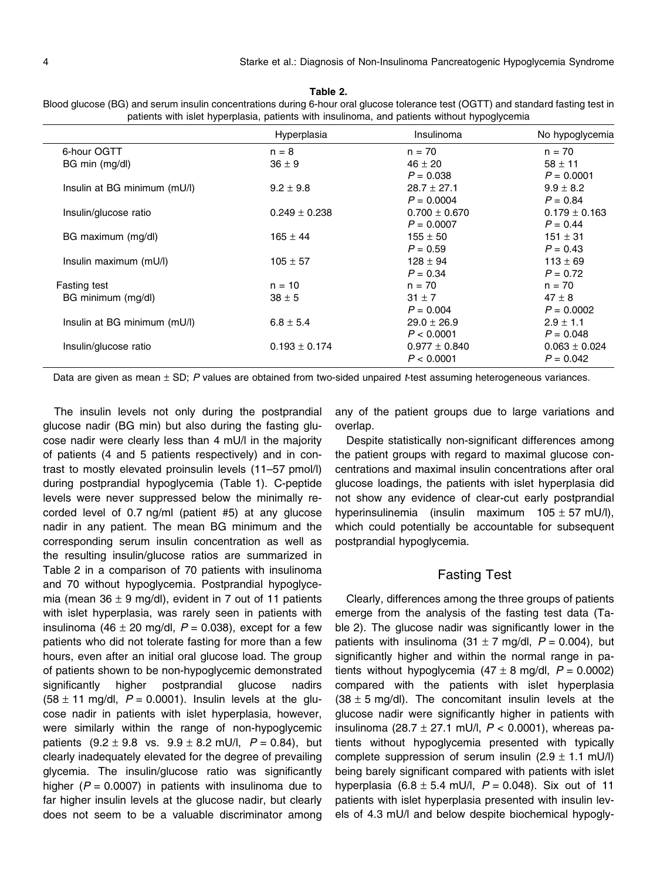|                              | Hyperplasia       | Insulinoma        | No hypoglycemia   |
|------------------------------|-------------------|-------------------|-------------------|
| 6-hour OGTT                  | $n = 8$           | $n = 70$          | $n = 70$          |
| BG min (mg/dl)               | $36 \pm 9$        | $46 \pm 20$       | $58 \pm 11$       |
|                              |                   | $P = 0.038$       | $P = 0.0001$      |
| Insulin at BG minimum (mU/l) | $9.2 \pm 9.8$     | $28.7 \pm 27.1$   | $9.9 \pm 8.2$     |
|                              |                   | $P = 0.0004$      | $P = 0.84$        |
| Insulin/glucose ratio        | $0.249 \pm 0.238$ | $0.700 \pm 0.670$ | $0.179 \pm 0.163$ |
|                              |                   | $P = 0.0007$      | $P = 0.44$        |
| BG maximum (mg/dl)           | $165 \pm 44$      | $155 \pm 50$      | $151 \pm 31$      |
|                              |                   | $P = 0.59$        | $P = 0.43$        |
| Insulin maximum (mU/l)       | $105 \pm 57$      | $128 \pm 94$      | $113 \pm 69$      |
|                              |                   | $P = 0.34$        | $P = 0.72$        |
| <b>Fasting test</b>          | $n = 10$          | $n = 70$          | $n = 70$          |
| BG minimum (mg/dl)           | $38 \pm 5$        | $31 \pm 7$        | $47 \pm 8$        |
|                              |                   | $P = 0.004$       | $P = 0.0002$      |
| Insulin at BG minimum (mU/l) | $6.8 \pm 5.4$     | $29.0 \pm 26.9$   | $2.9 \pm 1.1$     |
|                              |                   | P < 0.0001        | $P = 0.048$       |
| Insulin/glucose ratio        | $0.193 \pm 0.174$ | $0.977 \pm 0.840$ | $0.063 \pm 0.024$ |
|                              |                   | P < 0.0001        | $P = 0.042$       |

Table 2. Blood glucose (BG) and serum insulin concentrations during 6-hour oral glucose tolerance test (OGTT) and standard fasting test in<br>patients with insuling patients with insuling and patients without bunoglucomia patients with islet hyperplasia, patients with insulinom

Data are given as mean  $\pm$  SD; P values are obtained from two-sided unpaired t-test assuming heterogeneous variances.

The insulin levels not only during the postprandial glucose nadir (BG min) but also during the fasting glucose nadir were clearly less than 4 mU/l in the majority of patients (4 and 5 patients respectively) and in contrast to mostly elevated proinsulin levels (11–57 pmol/l) during postprandial hypoglycemia (Table 1). C-peptide levels were never suppressed below the minimally recorded level of 0.7 ng/ml (patient #5) at any glucose nadir in any patient. The mean BG minimum and the corresponding serum insulin concentration as well as the resulting insulin/glucose ratios are summarized in Table 2 in a comparison of 70 patients with insulinoma and 70 without hypoglycemia. Postprandial hypoglycemia (mean 36  $\pm$  9 mg/dl), evident in 7 out of 11 patients with islet hyperplasia, was rarely seen in patients with insulinoma (46  $\pm$  20 mg/dl,  $P = 0.038$ ), except for a few patients who did not tolerate fasting for more than a few hours, even after an initial oral glucose load. The group of patients shown to be non-hypoglycemic demonstrated significantly higher postprandial glucose nadirs (58  $\pm$  11 mg/dl,  $P = 0.0001$ ). Insulin levels at the glucose nadir in patients with islet hyperplasia, however, were similarly within the range of non-hypoglycemic patients  $(9.2 \pm 9.8 \text{ vs. } 9.9 \pm 8.2 \text{ mU/l}, P = 0.84)$ , but clearly inadequately elevated for the degree of prevailing glycemia. The insulin/glucose ratio was significantly higher ( $P = 0.0007$ ) in patients with insulinoma due to far higher insulin levels at the glucose nadir, but clearly does not seem to be a valuable discriminator among any of the patient groups due to large variations and overlap.

Despite statistically non-significant differences among the patient groups with regard to maximal glucose concentrations and maximal insulin concentrations after oral glucose loadings, the patients with islet hyperplasia did not show any evidence of clear-cut early postprandial hyperinsulinemia (insulin maximum  $105 \pm 57$  mU/l), which could potentially be accountable for subsequent postprandial hypoglycemia.

#### Fasting Test

Clearly, differences among the three groups of patients emerge from the analysis of the fasting test data (Table 2). The glucose nadir was significantly lower in the patients with insulinoma (31  $\pm$  7 mg/dl, P = 0.004), but significantly higher and within the normal range in patients without hypoglycemia  $(47 \pm 8 \text{ mg/dl}, P = 0.0002)$ compared with the patients with islet hyperplasia  $(38 \pm 5 \text{ mg/d})$ . The concomitant insulin levels at the glucose nadir were significantly higher in patients with insulinoma (28.7  $\pm$  27.1 mU/l,  $P < 0.0001$ ), whereas patients without hypoglycemia presented with typically complete suppression of serum insulin  $(2.9 \pm 1.1 \text{ mU/l})$ being barely significant compared with patients with islet hyperplasia  $(6.8 \pm 5.4 \text{ mU/l}, P = 0.048)$ . Six out of 11 patients with islet hyperplasia presented with insulin levels of 4.3 mU/l and below despite biochemical hypogly-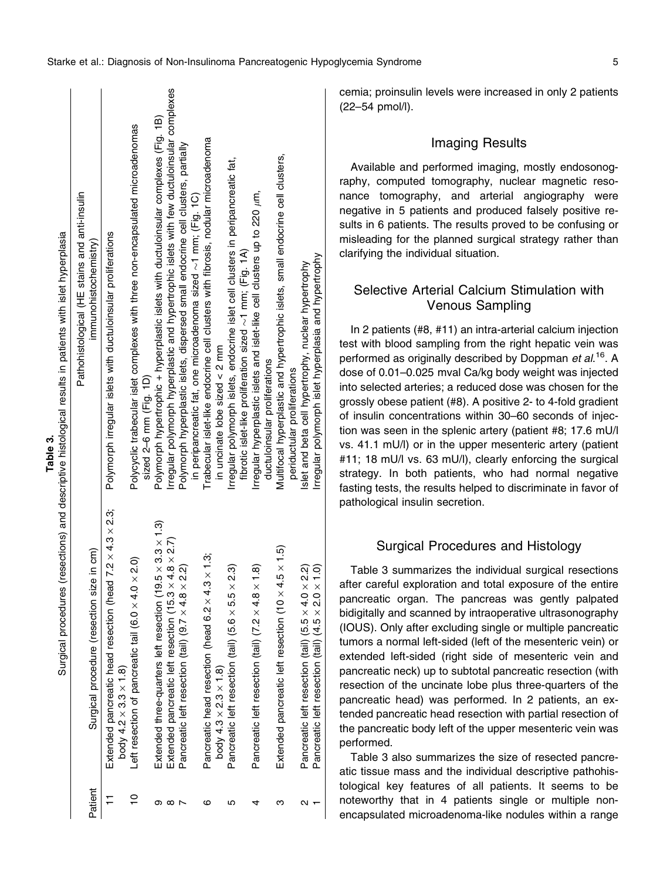|         |                                                                                                               | Pathohistological (HE stains and anti-insulin                                                                                                             |
|---------|---------------------------------------------------------------------------------------------------------------|-----------------------------------------------------------------------------------------------------------------------------------------------------------|
| Patient | Surgical procedure (resection size in cm)                                                                     | immunohistochemistry)                                                                                                                                     |
|         | Extended pancreatic head resection (head $7.2 \times 4.3 \times 2.3$ ;<br>body 4.2 $\times$ 3.3 $\times$ 1.8) | Polymorph irregular islets with ductuloinsular proliferations                                                                                             |
|         | Left resection of pancreatic tail (6.0 $\times$ 4.0 $\times$ 2.0)                                             | Polycyclic trabecular islet complexes with three non-encapsulated microadenomas<br>sized $2-6$ mm $(Fiq. 1D)$                                             |
| თ       | Extended three-quarters left resection (19.5 $\times$ 3.3 $\times$ 1.3)                                       | Polymorph hypertrophic + hyperplastic islets with ductuloinsular complexes (Fig. 1B)                                                                      |
| ∞       | $\times$ 4.8 $\times$ 2.7)<br>Extended pancreatic left resection (15.3                                        | Irregular polymorph hyperplastic and hypertrophic islets with few ductuloinsular complexes                                                                |
|         | Pancreatic left resection (tail) (9.7 $\times$ 4.8 $\times$ 2.2)                                              | Polymorph hyperplastic islets, dispersed small endocrine cell clusters, partially<br>in peripancreatic fat, one microadenoma sized $\sim$ 1 mm; (Fig. 1C) |
| ဖ       | Pancreatic head resection (head 6.2 $\times$ 4.3 $\times$ 1.3;                                                | Trabecular islet-like endocrine cell clusters with fibrosis, nodular microadenoma                                                                         |
|         | body 4.3 $\times$ 2.3 $\times$ 1.8)                                                                           | in uncinate lobe sized $\lt 2$ mm                                                                                                                         |
| ιΩ      | Pancreatic left resection (tail) (5.6 $\times$ 5.5 $\times$ 2.3)                                              | Irregular polymorph islets, endocrine islet cell clusters in peripancreatic fat,                                                                          |
|         |                                                                                                               | fibrotic islet-like proliferation sized $\sim$ 1 mm; (Fig. 1A)                                                                                            |
|         | Pancreatic left resection (tail) $(7.2 \times 4.8 \times 1.8)$                                                | Irregular hyperplastic islets and islet-like cell clusters up to 220 µm,                                                                                  |
|         |                                                                                                               | ductuloinsular proliferations                                                                                                                             |
| ო       | Extended pancreatic left resection (10 $\times$ 4.5 $\times$ 1.5)                                             | Multifocal hyperplastic and hypertrophic islets, small endocrine cell clusters,                                                                           |
|         |                                                                                                               | periductular proliferations                                                                                                                               |
| N       | Pancreatic left resection (tail) (5.5 $\times$ 4.0 $\times$ 2.2)                                              | Islet and beta cell hypertrophy, nuclear hypertrophy                                                                                                      |
|         | $\times$ 1.0)<br>Pancreatic left resection (tail) (4.5 x 2.0                                                  | Irregular polymorph islet hyperplasia and hypertrophy                                                                                                     |

cemia; proinsulin levels were increased in only 2 patients (22–54 pmol/l).

#### Imaging Results

Available and performed imaging, mostly endosonography, computed tomography, nuclear magnetic resonance tomography, and arterial angiography were negative in 5 patients and produced falsely positive results in 6 patients. The results proved to be confusing or misleading for the planned surgical strategy rather than clarifying the individual situation.

## Selective Arterial Calcium Stimulation with Venous Sampling

In 2 patients (#8, #11) an intra-arterial calcium injection test with blood sampling from the right hepatic vein was performed as originally described by Doppman et al.<sup>16</sup>. A dose of 0.01–0.025 mval Ca/kg body weight was injected into selected arteries; a reduced dose was chosen for the grossly obese patient (#8). A positive 2- to 4-fold gradient of insulin concentrations within 30–60 seconds of injection was seen in the splenic artery (patient #8; 17.6 mU/l vs. 41.1 mU/l) or in the upper mesenteric artery (patient #11; 18 mU/l vs. 63 mU/l), clearly enforcing the surgical strategy. In both patients, who had normal negative fasting tests, the results helped to discriminate in favor of pathological insulin secretion.

# Surgical Procedures and Histology

Table 3 summarizes the individual surgical resections after careful exploration and total exposure of the entire pancreatic organ. The pancreas was gently palpated bidigitally and scanned by intraoperative ultrasonography (IOUS). Only after excluding single or multiple pancreatic tumors a normal left-sided (left of the mesenteric vein) or extended left-sided (right side of mesenteric vein and pancreatic neck) up to subtotal pancreatic resection (with resection of the uncinate lobe plus three-quarters of the pancreatic head) was performed. In 2 patients, an extended pancreatic head resection with partial resection of the pancreatic body left of the upper mesenteric vein was performed.

Table 3 also summarizes the size of resected pancreatic tissue mass and the individual descriptive pathohistological key features of all patients. It seems to be noteworthy that in 4 patients single or multiple nonencapsulated microadenoma-like nodules within a range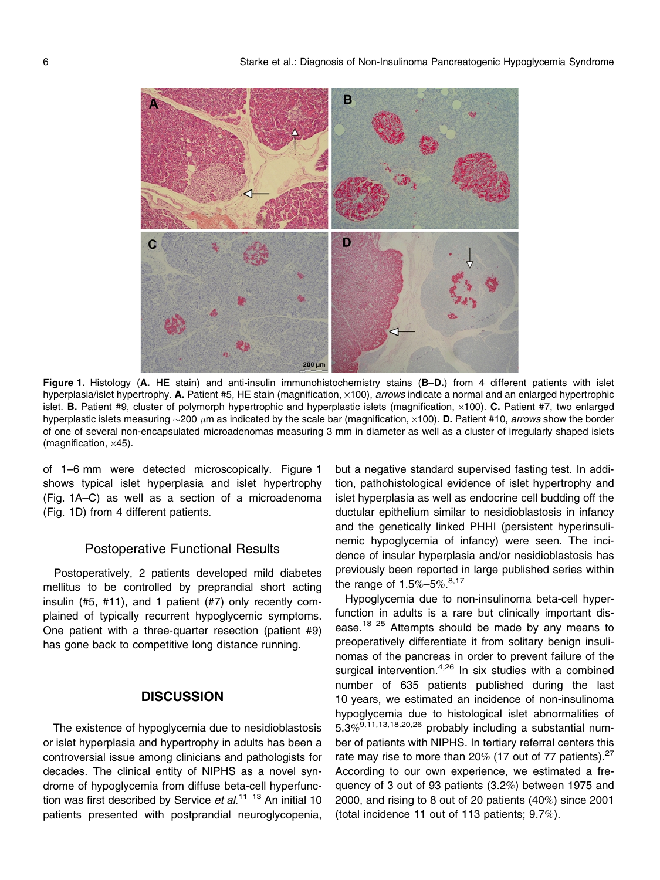

Figure 1. Histology (A. HE stain) and anti-insulin immunohistochemistry stains (B-D.) from 4 different patients with islet hyperplasia/islet hypertrophy. A. Patient #5, HE stain (magnification,  $\times$ 100), *arrows* indicate a normal and an enlarged hypertrophic islet. **B.** Patient #9, cluster of polymorph hypertrophic and hyperplastic islets (magnification,  $\times$ 100). **C.** Patient #7, two enlarged hyperplastic islets measuring  $\sim$ 200  $\mu$ m as indicated by the scale bar (magnification,  $\times$ 100). **D.** Patient #10, arrows show the border of one of several non-encapsulated microadenomas measuring 3 mm in diameter as well as a cluster of irregularly shaped islets (magnification,  $\times$ 45).

of 1–6 mm were detected microscopically. Figure 1 shows typical islet hyperplasia and islet hypertrophy (Fig. 1A–C) as well as a section of a microadenoma (Fig. 1D) from 4 different patients.

#### Postoperative Functional Results

Postoperatively, 2 patients developed mild diabetes mellitus to be controlled by preprandial short acting insulin (#5, #11), and 1 patient (#7) only recently complained of typically recurrent hypoglycemic symptoms. One patient with a three-quarter resection (patient #9) has gone back to competitive long distance running.

## **DISCUSSION**

The existence of hypoglycemia due to nesidioblastosis or islet hyperplasia and hypertrophy in adults has been a controversial issue among clinicians and pathologists for decades. The clinical entity of NIPHS as a novel syndrome of hypoglycemia from diffuse beta-cell hyperfunction was first described by Service et  $al$ .<sup>11–13</sup> An initial 10 patients presented with postprandial neuroglycopenia, but a negative standard supervised fasting test. In addition, pathohistological evidence of islet hypertrophy and islet hyperplasia as well as endocrine cell budding off the ductular epithelium similar to nesidioblastosis in infancy and the genetically linked PHHI (persistent hyperinsulinemic hypoglycemia of infancy) were seen. The incidence of insular hyperplasia and/or nesidioblastosis has previously been reported in large published series within the range of 1.5%–5%. $8,17$ 

Hypoglycemia due to non-insulinoma beta-cell hyperfunction in adults is a rare but clinically important disease.<sup>18–25</sup> Attempts should be made by any means to preoperatively differentiate it from solitary benign insulinomas of the pancreas in order to prevent failure of the surgical intervention. $4,26$  In six studies with a combined number of 635 patients published during the last 10 years, we estimated an incidence of non-insulinoma hypoglycemia due to histological islet abnormalities of  $5.3\%$ <sup> $9,11,13,18,20,26$ </sup> probably including a substantial number of patients with NIPHS. In tertiary referral centers this rate may rise to more than 20% (17 out of 77 patients). $27$ According to our own experience, we estimated a frequency of 3 out of 93 patients (3.2%) between 1975 and 2000, and rising to 8 out of 20 patients (40%) since 2001 (total incidence 11 out of 113 patients; 9.7%).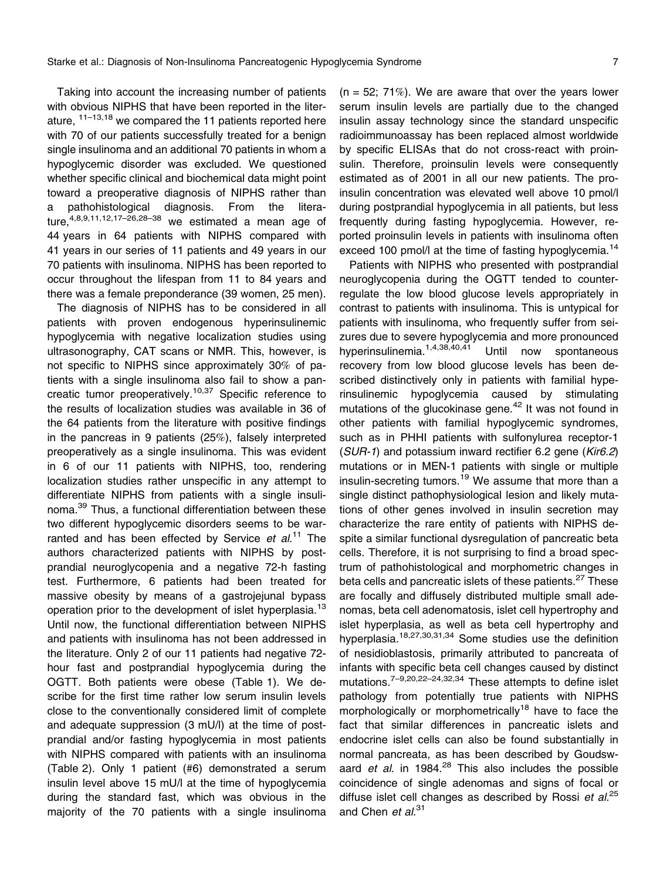Taking into account the increasing number of patients with obvious NIPHS that have been reported in the literature,  $11-13,18$  we compared the 11 patients reported here with 70 of our patients successfully treated for a benign single insulinoma and an additional 70 patients in whom a hypoglycemic disorder was excluded. We questioned whether specific clinical and biochemical data might point toward a preoperative diagnosis of NIPHS rather than a pathohistological diagnosis. From the literature,  $4,8,9,11,12,17-26,28-38$  we estimated a mean age of 44 years in 64 patients with NIPHS compared with 41 years in our series of 11 patients and 49 years in our 70 patients with insulinoma. NIPHS has been reported to occur throughout the lifespan from 11 to 84 years and there was a female preponderance (39 women, 25 men).

The diagnosis of NIPHS has to be considered in all patients with proven endogenous hyperinsulinemic hypoglycemia with negative localization studies using ultrasonography, CAT scans or NMR. This, however, is not specific to NIPHS since approximately 30% of patients with a single insulinoma also fail to show a pancreatic tumor preoperatively.<sup>10,37</sup> Specific reference to the results of localization studies was available in 36 of the 64 patients from the literature with positive findings in the pancreas in 9 patients (25%), falsely interpreted preoperatively as a single insulinoma. This was evident in 6 of our 11 patients with NIPHS, too, rendering localization studies rather unspecific in any attempt to differentiate NIPHS from patients with a single insulinoma.<sup>39</sup> Thus, a functional differentiation between these two different hypoglycemic disorders seems to be warranted and has been effected by Service et al.<sup>11</sup> The authors characterized patients with NIPHS by postprandial neuroglycopenia and a negative 72-h fasting test. Furthermore, 6 patients had been treated for massive obesity by means of a gastrojejunal bypass operation prior to the development of islet hyperplasia.<sup>13</sup> Until now, the functional differentiation between NIPHS and patients with insulinoma has not been addressed in the literature. Only 2 of our 11 patients had negative 72 hour fast and postprandial hypoglycemia during the OGTT. Both patients were obese (Table 1). We describe for the first time rather low serum insulin levels close to the conventionally considered limit of complete and adequate suppression (3 mU/l) at the time of postprandial and/or fasting hypoglycemia in most patients with NIPHS compared with patients with an insulinoma (Table 2). Only 1 patient (#6) demonstrated a serum insulin level above 15 mU/l at the time of hypoglycemia during the standard fast, which was obvious in the majority of the 70 patients with a single insulinoma  $(n = 52; 71\%)$ . We are aware that over the years lower serum insulin levels are partially due to the changed insulin assay technology since the standard unspecific radioimmunoassay has been replaced almost worldwide by specific ELISAs that do not cross-react with proinsulin. Therefore, proinsulin levels were consequently estimated as of 2001 in all our new patients. The proinsulin concentration was elevated well above 10 pmol/l during postprandial hypoglycemia in all patients, but less frequently during fasting hypoglycemia. However, reported proinsulin levels in patients with insulinoma often exceed 100 pmol/l at the time of fasting hypoglycemia.<sup>14</sup>

Patients with NIPHS who presented with postprandial neuroglycopenia during the OGTT tended to counterregulate the low blood glucose levels appropriately in contrast to patients with insulinoma. This is untypical for patients with insulinoma, who frequently suffer from seizures due to severe hypoglycemia and more pronounced hyperinsulinemia.1,4,38,40,41 Until now spontaneous recovery from low blood glucose levels has been described distinctively only in patients with familial hyperinsulinemic hypoglycemia caused by stimulating mutations of the glucokinase gene.<sup>42</sup> It was not found in other patients with familial hypoglycemic syndromes, such as in PHHI patients with sulfonylurea receptor-1 (SUR-1) and potassium inward rectifier 6.2 gene (Kir6.2) mutations or in MEN-1 patients with single or multiple insulin-secreting tumors.<sup>19</sup> We assume that more than a single distinct pathophysiological lesion and likely mutations of other genes involved in insulin secretion may characterize the rare entity of patients with NIPHS despite a similar functional dysregulation of pancreatic beta cells. Therefore, it is not surprising to find a broad spectrum of pathohistological and morphometric changes in beta cells and pancreatic islets of these patients.<sup>27</sup> These are focally and diffusely distributed multiple small adenomas, beta cell adenomatosis, islet cell hypertrophy and islet hyperplasia, as well as beta cell hypertrophy and hyperplasia.18,27,30,31,34 Some studies use the definition of nesidioblastosis, primarily attributed to pancreata of infants with specific beta cell changes caused by distinct mutations.7–9,20,22–24,32,34 These attempts to define islet pathology from potentially true patients with NIPHS morphologically or morphometrically<sup>18</sup> have to face the fact that similar differences in pancreatic islets and endocrine islet cells can also be found substantially in normal pancreata, as has been described by Goudswaard et al. in 1984. $^{28}$  This also includes the possible coincidence of single adenomas and signs of focal or diffuse islet cell changes as described by Rossi et  $al^{25}$ and Chen et al.<sup>31</sup>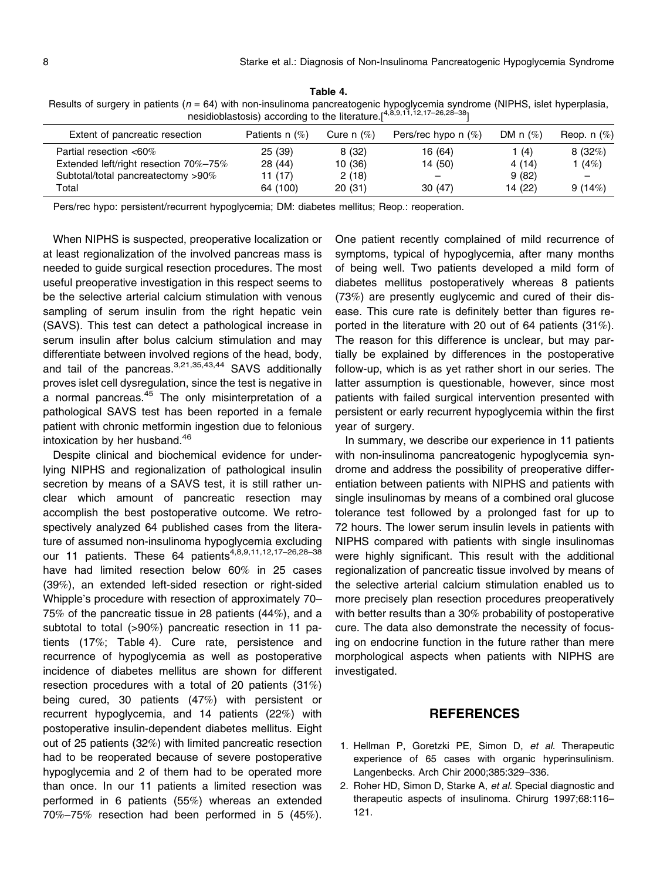Table 4. Results of surgery in patients (n = 64) with non-insulinoma pancreatogenic hypoglycemia syndrome (NIPHS, islet hyperplasia, nesidioblastosis) according to the literature.[4,8,9,11,12,17-26,28-38]

| Extent of pancreatic resection        | Patients n $(\%)$ | Cure n $(\%)$ | Pers/rec hypo n $(\%)$   | DM n $(\%)$ | Reop. $n$ $(\%)$ |
|---------------------------------------|-------------------|---------------|--------------------------|-------------|------------------|
| Partial resection <60%                | 25 (39)           | 8(32)         | 16 (64)                  | 1 $(4)$     | 8(32%)           |
| Extended left/right resection 70%-75% | 28 (44)           | 10 (36)       | 14 (50)                  | 4(14)       | (4%)             |
| Subtotal/total pancreatectomy >90%    | 11 (17)           | 2(18)         | $\overline{\phantom{m}}$ | 9(82)       | -                |
| Total                                 | 64 (100)          | 20(31)        | 30(47)                   | 14 (22)     | 9(14%)           |

Pers/rec hypo: persistent/recurrent hypoglycemia; DM: diabetes mellitus; Reop.: reoperation.

When NIPHS is suspected, preoperative localization or at least regionalization of the involved pancreas mass is needed to guide surgical resection procedures. The most useful preoperative investigation in this respect seems to be the selective arterial calcium stimulation with venous sampling of serum insulin from the right hepatic vein (SAVS). This test can detect a pathological increase in serum insulin after bolus calcium stimulation and may differentiate between involved regions of the head, body, and tail of the pancreas.<sup>3,21,35,43,44</sup> SAVS additionally proves islet cell dysregulation, since the test is negative in a normal pancreas.<sup>45</sup> The only misinterpretation of a pathological SAVS test has been reported in a female patient with chronic metformin ingestion due to felonious intoxication by her husband.<sup>46</sup>

Despite clinical and biochemical evidence for underlying NIPHS and regionalization of pathological insulin secretion by means of a SAVS test, it is still rather unclear which amount of pancreatic resection may accomplish the best postoperative outcome. We retrospectively analyzed 64 published cases from the literature of assumed non-insulinoma hypoglycemia excluding our 11 patients. These 64 patients<sup>4,8,9,11,12,17-26,28-38</sup> have had limited resection below 60% in 25 cases (39%), an extended left-sided resection or right-sided Whipple's procedure with resection of approximately 70– 75% of the pancreatic tissue in 28 patients (44%), and a subtotal to total (>90%) pancreatic resection in 11 patients (17%; Table 4). Cure rate, persistence and recurrence of hypoglycemia as well as postoperative incidence of diabetes mellitus are shown for different resection procedures with a total of 20 patients (31%) being cured, 30 patients (47%) with persistent or recurrent hypoglycemia, and 14 patients (22%) with postoperative insulin-dependent diabetes mellitus. Eight out of 25 patients (32%) with limited pancreatic resection had to be reoperated because of severe postoperative hypoglycemia and 2 of them had to be operated more than once. In our 11 patients a limited resection was performed in 6 patients (55%) whereas an extended 70%–75% resection had been performed in 5 (45%). One patient recently complained of mild recurrence of symptoms, typical of hypoglycemia, after many months of being well. Two patients developed a mild form of diabetes mellitus postoperatively whereas 8 patients (73%) are presently euglycemic and cured of their disease. This cure rate is definitely better than figures reported in the literature with 20 out of 64 patients (31%). The reason for this difference is unclear, but may partially be explained by differences in the postoperative follow-up, which is as yet rather short in our series. The latter assumption is questionable, however, since most patients with failed surgical intervention presented with persistent or early recurrent hypoglycemia within the first year of surgery.

In summary, we describe our experience in 11 patients with non-insulinoma pancreatogenic hypoglycemia syndrome and address the possibility of preoperative differentiation between patients with NIPHS and patients with single insulinomas by means of a combined oral glucose tolerance test followed by a prolonged fast for up to 72 hours. The lower serum insulin levels in patients with NIPHS compared with patients with single insulinomas were highly significant. This result with the additional regionalization of pancreatic tissue involved by means of the selective arterial calcium stimulation enabled us to more precisely plan resection procedures preoperatively with better results than a 30% probability of postoperative cure. The data also demonstrate the necessity of focusing on endocrine function in the future rather than mere morphological aspects when patients with NIPHS are investigated.

## **REFERENCES**

- 1. Hellman P, Goretzki PE, Simon D, et al. Therapeutic experience of 65 cases with organic hyperinsulinism. Langenbecks. Arch Chir 2000;385:329–336.
- 2. Roher HD, Simon D, Starke A, et al. Special diagnostic and therapeutic aspects of insulinoma. Chirurg 1997;68:116– 121.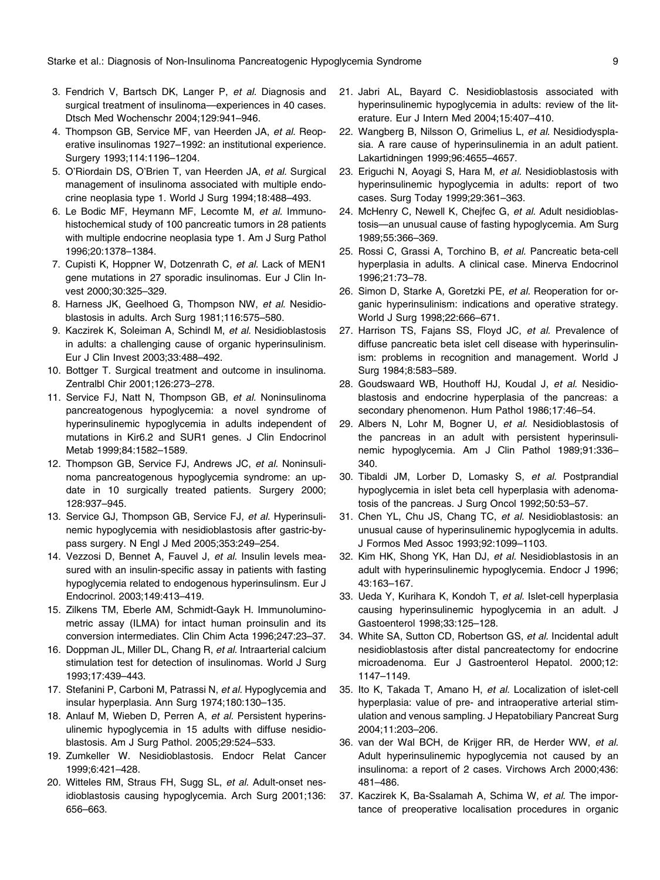- 3. Fendrich V, Bartsch DK, Langer P, et al. Diagnosis and surgical treatment of insulinoma—experiences in 40 cases. Dtsch Med Wochenschr 2004;129:941–946.
- 4. Thompson GB, Service MF, van Heerden JA, et al. Reoperative insulinomas 1927–1992: an institutional experience. Surgery 1993;114:1196–1204.
- 5. O'Riordain DS, O'Brien T, van Heerden JA, et al. Surgical management of insulinoma associated with multiple endocrine neoplasia type 1. World J Surg 1994;18:488–493.
- 6. Le Bodic MF, Heymann MF, Lecomte M, et al. Immunohistochemical study of 100 pancreatic tumors in 28 patients with multiple endocrine neoplasia type 1. Am J Surg Pathol 1996;20:1378–1384.
- 7. Cupisti K, Hoppner W, Dotzenrath C, et al. Lack of MEN1 gene mutations in 27 sporadic insulinomas. Eur J Clin Invest 2000;30:325–329.
- 8. Harness JK, Geelhoed G, Thompson NW, et al. Nesidioblastosis in adults. Arch Surg 1981;116:575–580.
- 9. Kaczirek K, Soleiman A, Schindl M, et al. Nesidioblastosis in adults: a challenging cause of organic hyperinsulinism. Eur J Clin Invest 2003;33:488–492.
- 10. Bottger T. Surgical treatment and outcome in insulinoma. Zentralbl Chir 2001;126:273–278.
- 11. Service FJ, Natt N, Thompson GB, et al. Noninsulinoma pancreatogenous hypoglycemia: a novel syndrome of hyperinsulinemic hypoglycemia in adults independent of mutations in Kir6.2 and SUR1 genes. J Clin Endocrinol Metab 1999;84:1582–1589.
- 12. Thompson GB, Service FJ, Andrews JC, et al. Noninsulinoma pancreatogenous hypoglycemia syndrome: an update in 10 surgically treated patients. Surgery 2000; 128:937–945.
- 13. Service GJ, Thompson GB, Service FJ, et al. Hyperinsulinemic hypoglycemia with nesidioblastosis after gastric-bypass surgery. N Engl J Med 2005;353:249–254.
- 14. Vezzosi D, Bennet A, Fauvel J, et al. Insulin levels measured with an insulin-specific assay in patients with fasting hypoglycemia related to endogenous hyperinsulinsm. Eur J Endocrinol. 2003;149:413–419.
- 15. Zilkens TM, Eberle AM, Schmidt-Gayk H. Immunoluminometric assay (ILMA) for intact human proinsulin and its conversion intermediates. Clin Chim Acta 1996;247:23–37.
- 16. Doppman JL, Miller DL, Chang R, et al. Intraarterial calcium stimulation test for detection of insulinomas. World J Surg 1993;17:439–443.
- 17. Stefanini P, Carboni M, Patrassi N, et al. Hypoglycemia and insular hyperplasia. Ann Surg 1974;180:130–135.
- 18. Anlauf M, Wieben D, Perren A, et al. Persistent hyperinsulinemic hypoglycemia in 15 adults with diffuse nesidioblastosis. Am J Surg Pathol. 2005;29:524–533.
- 19. Zumkeller W. Nesidioblastosis. Endocr Relat Cancer 1999;6:421–428.
- 20. Witteles RM, Straus FH, Sugg SL, et al. Adult-onset nesidioblastosis causing hypoglycemia. Arch Surg 2001;136: 656–663.
- 21. Jabri AL, Bayard C. Nesidioblastosis associated with hyperinsulinemic hypoglycemia in adults: review of the literature. Eur J Intern Med 2004;15:407–410.
- 22. Wangberg B, Nilsson O, Grimelius L, et al. Nesidiodysplasia. A rare cause of hyperinsulinemia in an adult patient. Lakartidningen 1999;96:4655–4657.
- 23. Eriguchi N, Aoyagi S, Hara M, et al. Nesidioblastosis with hyperinsulinemic hypoglycemia in adults: report of two cases. Surg Today 1999;29:361–363.
- 24. McHenry C, Newell K, Chejfec G, et al. Adult nesidioblastosis—an unusual cause of fasting hypoglycemia. Am Surg 1989;55:366–369.
- 25. Rossi C, Grassi A, Torchino B, et al. Pancreatic beta-cell hyperplasia in adults. A clinical case. Minerva Endocrinol 1996;21:73–78.
- 26. Simon D, Starke A, Goretzki PE, et al. Reoperation for organic hyperinsulinism: indications and operative strategy. World J Surg 1998;22:666–671.
- 27. Harrison TS, Fajans SS, Floyd JC, et al. Prevalence of diffuse pancreatic beta islet cell disease with hyperinsulinism: problems in recognition and management. World J Surg 1984;8:583–589.
- 28. Goudswaard WB, Houthoff HJ, Koudal J, et al. Nesidioblastosis and endocrine hyperplasia of the pancreas: a secondary phenomenon. Hum Pathol 1986;17:46–54.
- 29. Albers N, Lohr M, Bogner U, et al. Nesidioblastosis of the pancreas in an adult with persistent hyperinsulinemic hypoglycemia. Am J Clin Pathol 1989;91:336– 340.
- 30. Tibaldi JM, Lorber D, Lomasky S, et al. Postprandial hypoglycemia in islet beta cell hyperplasia with adenomatosis of the pancreas. J Surg Oncol 1992;50:53–57.
- 31. Chen YL, Chu JS, Chang TC, et al. Nesidioblastosis: an unusual cause of hyperinsulinemic hypoglycemia in adults. J Formos Med Assoc 1993;92:1099–1103.
- 32. Kim HK, Shong YK, Han DJ, et al. Nesidioblastosis in an adult with hyperinsulinemic hypoglycemia. Endocr J 1996; 43:163–167.
- 33. Ueda Y, Kurihara K, Kondoh T, et al. Islet-cell hyperplasia causing hyperinsulinemic hypoglycemia in an adult. J Gastoenterol 1998;33:125–128.
- 34. White SA, Sutton CD, Robertson GS, et al. Incidental adult nesidioblastosis after distal pancreatectomy for endocrine microadenoma. Eur J Gastroenterol Hepatol. 2000;12: 1147–1149.
- 35. Ito K, Takada T, Amano H, et al. Localization of islet-cell hyperplasia: value of pre- and intraoperative arterial stimulation and venous sampling. J Hepatobiliary Pancreat Surg 2004;11:203–206.
- 36. van der Wal BCH, de Krijger RR, de Herder WW, et al. Adult hyperinsulinemic hypoglycemia not caused by an insulinoma: a report of 2 cases. Virchows Arch 2000;436: 481–486.
- 37. Kaczirek K, Ba-Ssalamah A, Schima W, et al. The importance of preoperative localisation procedures in organic